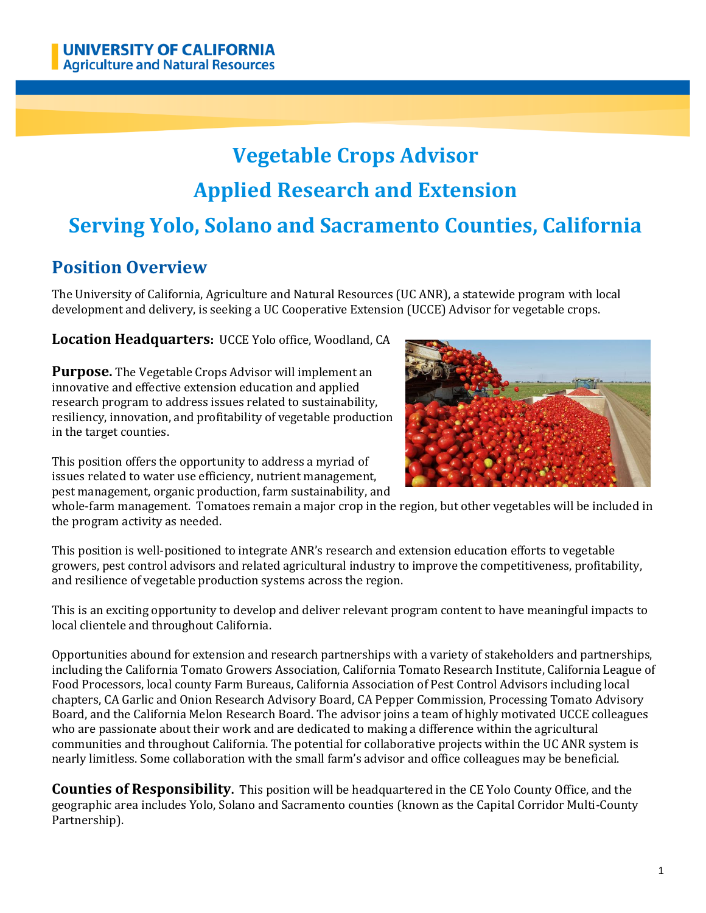# **Vegetable Crops Advisor Applied Research and Extension Serving Yolo, Solano and Sacramento Counties, California**

# **Position Overview**

The University of California, Agriculture and Natural Resources (UC ANR), a statewide program with local development and delivery, is seeking a UC Cooperative Extension (UCCE) Advisor for vegetable crops.

**Location Headquarters:** UCCE Yolo office, Woodland, CA

**Purpose.** The Vegetable Crops Advisor will implement an innovative and effective extension education and applied research program to address issues related to sustainability, resiliency, innovation, and profitability of vegetable production in the target counties.

This position offers the opportunity to address a myriad of issues related to water use efficiency, nutrient management, pest management, organic production, farm sustainability, and



whole-farm management. Tomatoes remain a major crop in the region, but other vegetables will be included in the program activity as needed.

This position is well-positioned to integrate ANR's research and extension education efforts to vegetable growers, pest control advisors and related agricultural industry to improve the competitiveness, profitability, and resilience of vegetable production systems across the region.

This is an exciting opportunity to develop and deliver relevant program content to have meaningful impacts to local clientele and throughout California.

Opportunities abound for extension and research partnerships with a variety of stakeholders and partnerships, including the California Tomato Growers Association, California Tomato Research Institute, California League of Food Processors, local county Farm Bureaus, California Association of Pest Control Advisors including local chapters, CA Garlic and Onion Research Advisory Board, CA Pepper Commission, Processing Tomato Advisory Board, and the California Melon Research Board. The advisor joins a team of highly motivated UCCE colleagues who are passionate about their work and are dedicated to making a difference within the agricultural communities and throughout California. The potential for collaborative projects within the UC ANR system is nearly limitless. Some collaboration with the small farm's advisor and office colleagues may be beneficial.

**Counties of Responsibility.** This position will be headquartered in the CE Yolo County Office, and the geographic area includes Yolo, Solano and Sacramento counties (known as the Capital Corridor Multi-County Partnership).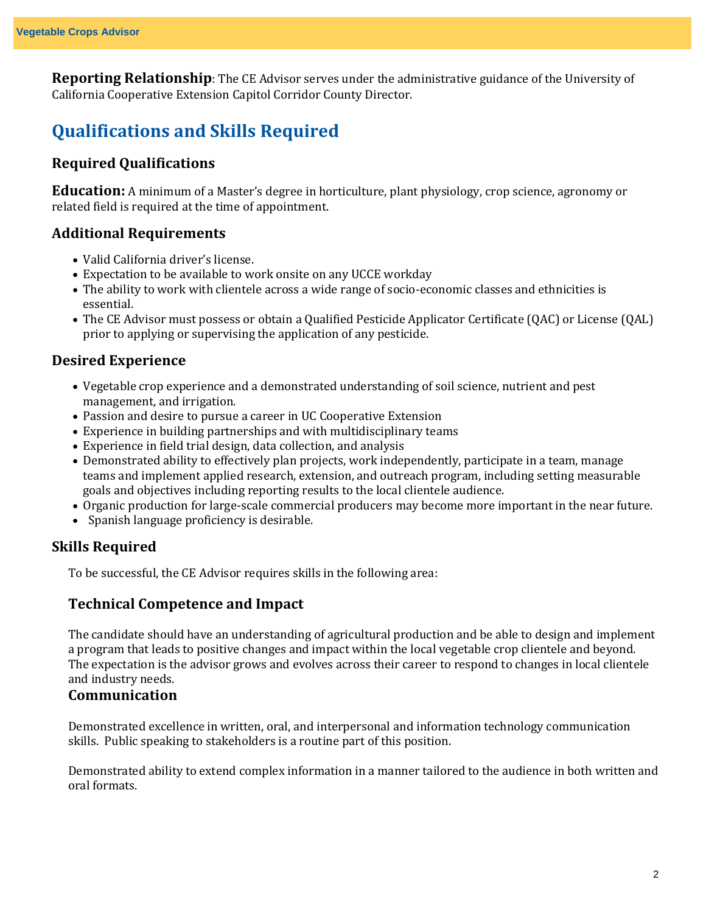**Reporting Relationship**: The CE Advisor serves under the administrative guidance of the University of California Cooperative Extension Capitol Corridor County Director.

# **Qualifications and Skills Required**

#### **Required Qualifications**

**Education:** A minimum of a Master's degree in horticulture, plant physiology, crop science, agronomy or related field is required at the time of appointment.

#### **Additional Requirements**

- Valid California driver's license.
- Expectation to be available to work onsite on any UCCE workday
- The ability to work with clientele across a wide range of socio-economic classes and ethnicities is essential.
- The CE Advisor must possess or obtain a Qualified Pesticide Applicator Certificate (QAC) or License (QAL) prior to applying or supervising the application of any pesticide.

#### **Desired Experience**

- Vegetable crop experience and a demonstrated understanding of soil science, nutrient and pest management, and irrigation.
- Passion and desire to pursue a career in UC Cooperative Extension
- Experience in building partnerships and with multidisciplinary teams
- Experience in field trial design, data collection, and analysis
- Demonstrated ability to effectively plan projects, work independently, participate in a team, manage teams and implement applied research, extension, and outreach program, including setting measurable goals and objectives including reporting results to the local clientele audience.
- Organic production for large-scale commercial producers may become more important in the near future.
- Spanish language proficiency is desirable.

#### **Skills Required**

To be successful, the CE Advisor requires skills in the following area:

#### **Technical Competence and Impact**

The candidate should have an understanding of agricultural production and be able to design and implement a program that leads to positive changes and impact within the local vegetable crop clientele and beyond. The expectation is the advisor grows and evolves across their career to respond to changes in local clientele and industry needs.

#### **Communication**

Demonstrated excellence in written, oral, and interpersonal and information technology communication skills. Public speaking to stakeholders is a routine part of this position.

Demonstrated ability to extend complex information in a manner tailored to the audience in both written and oral formats.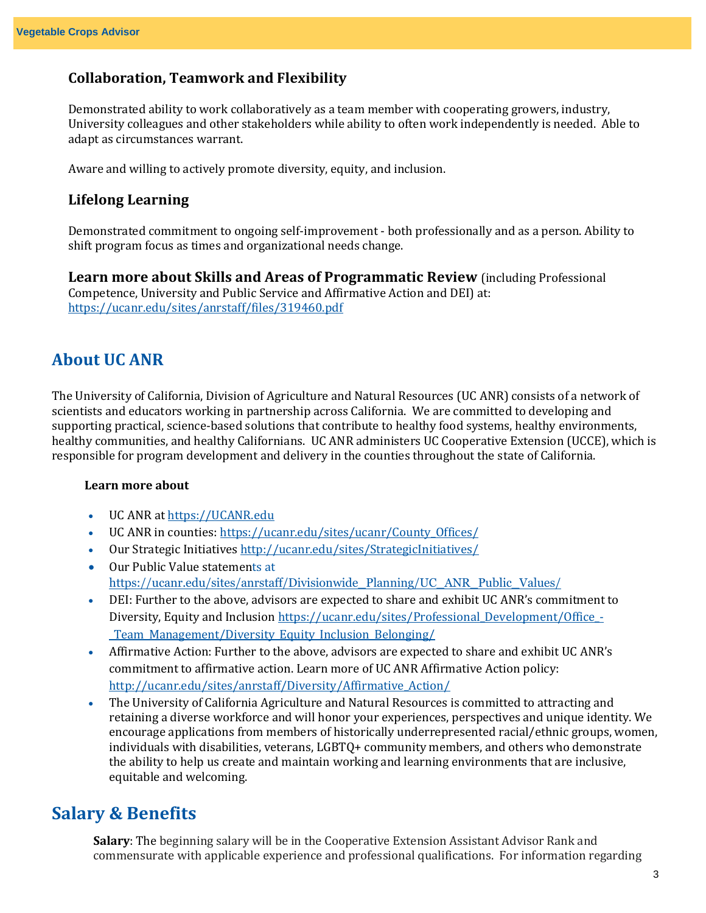#### **Collaboration, Teamwork and Flexibility**

Demonstrated ability to work collaboratively as a team member with cooperating growers, industry, University colleagues and other stakeholders while ability to often work independently is needed. Able to adapt as circumstances warrant.

Aware and willing to actively promote diversity, equity, and inclusion.

#### **Lifelong Learning**

Demonstrated commitment to ongoing self-improvement - both professionally and as a person. Ability to shift program focus as times and organizational needs change.

**Learn more about Skills and Areas of Programmatic Review** (including Professional Competence, University and Public Service and Affirmative Action and DEI) at: <https://ucanr.edu/sites/anrstaff/files/319460.pdf>

### **About UC ANR**

The University of California, Division of Agriculture and Natural Resources (UC ANR) consists of a network of scientists and educators working in partnership across California. We are committed to developing and supporting practical, science-based solutions that contribute to healthy food systems, healthy environments, healthy communities, and healthy Californians. UC ANR administers UC Cooperative Extension (UCCE), which is responsible for program development and delivery in the counties throughout the state of California.

#### **Learn more about**

- UC ANR a[t https://UCANR.edu](https://ucanr.edu/)
- UC ANR in counties: [https://ucanr.edu/sites/ucanr/County\\_Offices/](https://ucanr.edu/sites/ucanr/County_Offices/)
- Our Strategic Initiative[s http://ucanr.edu/sites/StrategicInitiatives/](http://ucanr.edu/sites/StrategicInitiatives/)
- Our Public Value statements at [https://ucanr.edu/sites/anrstaff/Divisionwide\\_Planning/UC\\_ANR\\_Public\\_Values/](https://ucanr.edu/sites/anrstaff/Divisionwide_Planning/UC_ANR_Public_Values/)
- DEI: Further to the above, advisors are expected to share and exhibit UC ANR's commitment to Diversity, Equity and Inclusion [https://ucanr.edu/sites/Professional\\_Development/Office\\_-](https://ucanr.edu/sites/Professional_Development/Office_-_Team_Management/Diversity_Equity_Inclusion_Belonging/) [\\_Team\\_Management/Diversity\\_Equity\\_Inclusion\\_Belonging/](https://ucanr.edu/sites/Professional_Development/Office_-_Team_Management/Diversity_Equity_Inclusion_Belonging/)
- Affirmative Action: Further to the above, advisors are expected to share and exhibit UC ANR's commitment to affirmative action. Learn more of UC ANR Affirmative Action policy: [http://ucanr.edu/sites/anrstaff/Diversity/Affirmative\\_Action/](http://ucanr.edu/sites/anrstaff/Diversity/Affirmative_Action/)
- The University of California Agriculture and Natural Resources is committed to attracting and retaining a diverse workforce and will honor your experiences, perspectives and unique identity. We encourage applications from members of historically underrepresented racial/ethnic groups, women, individuals with disabilities, veterans, LGBTQ+ community members, and others who demonstrate the ability to help us create and maintain working and learning environments that are inclusive, equitable and welcoming.

# **Salary & Benefits**

**Salary**: The beginning salary will be in the Cooperative Extension Assistant Advisor Rank and commensurate with applicable experience and professional qualifications. For information regarding